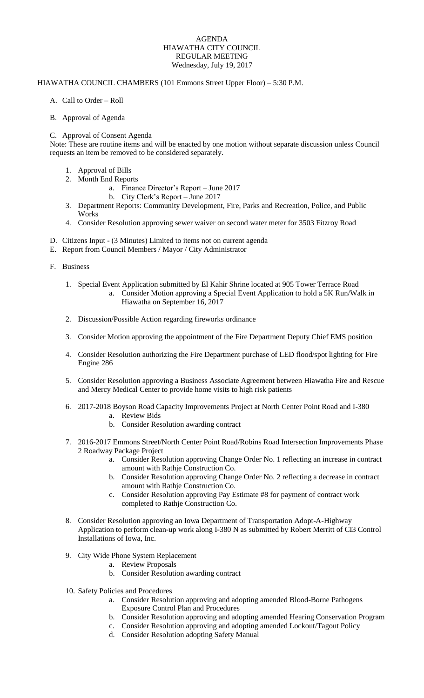## AGENDA HIAWATHA CITY COUNCIL REGULAR MEETING Wednesday, July 19, 2017

## HIAWATHA COUNCIL CHAMBERS (101 Emmons Street Upper Floor) – 5:30 P.M.

- A. Call to Order Roll
- B. Approval of Agenda

## C. Approval of Consent Agenda

Note: These are routine items and will be enacted by one motion without separate discussion unless Council requests an item be removed to be considered separately.

- 1. Approval of Bills
- 2. Month End Reports
	- a. Finance Director's Report June 2017
	- b. City Clerk's Report June 2017
- 3. Department Reports: Community Development, Fire, Parks and Recreation, Police, and Public Works
- 4. Consider Resolution approving sewer waiver on second water meter for 3503 Fitzroy Road
- D. Citizens Input (3 Minutes) Limited to items not on current agenda
- E. Report from Council Members / Mayor / City Administrator
- F. Business
	- 1. Special Event Application submitted by El Kahir Shrine located at 905 Tower Terrace Road
		- a. Consider Motion approving a Special Event Application to hold a 5K Run/Walk in Hiawatha on September 16, 2017
	- 2. Discussion/Possible Action regarding fireworks ordinance
	- 3. Consider Motion approving the appointment of the Fire Department Deputy Chief EMS position
	- 4. Consider Resolution authorizing the Fire Department purchase of LED flood/spot lighting for Fire Engine 286
	- 5. Consider Resolution approving a Business Associate Agreement between Hiawatha Fire and Rescue and Mercy Medical Center to provide home visits to high risk patients
	- 6. 2017-2018 Boyson Road Capacity Improvements Project at North Center Point Road and I-380 a. Review Bids
		- b. Consider Resolution awarding contract
	- 7. 2016-2017 Emmons Street/North Center Point Road/Robins Road Intersection Improvements Phase 2 Roadway Package Project
		- a. Consider Resolution approving Change Order No. 1 reflecting an increase in contract amount with Rathje Construction Co.
		- b. Consider Resolution approving Change Order No. 2 reflecting a decrease in contract amount with Rathje Construction Co.
		- c. Consider Resolution approving Pay Estimate #8 for payment of contract work completed to Rathje Construction Co.
	- 8. Consider Resolution approving an Iowa Department of Transportation Adopt-A-Highway Application to perform clean-up work along I-380 N as submitted by Robert Merritt of CI3 Control Installations of Iowa, Inc.
	- 9. City Wide Phone System Replacement
		- a. Review Proposals
		- b. Consider Resolution awarding contract
	- 10. Safety Policies and Procedures
		- a. Consider Resolution approving and adopting amended Blood-Borne Pathogens Exposure Control Plan and Procedures
		- b. Consider Resolution approving and adopting amended Hearing Conservation Program
		- c. Consider Resolution approving and adopting amended Lockout/Tagout Policy
		- d. Consider Resolution adopting Safety Manual